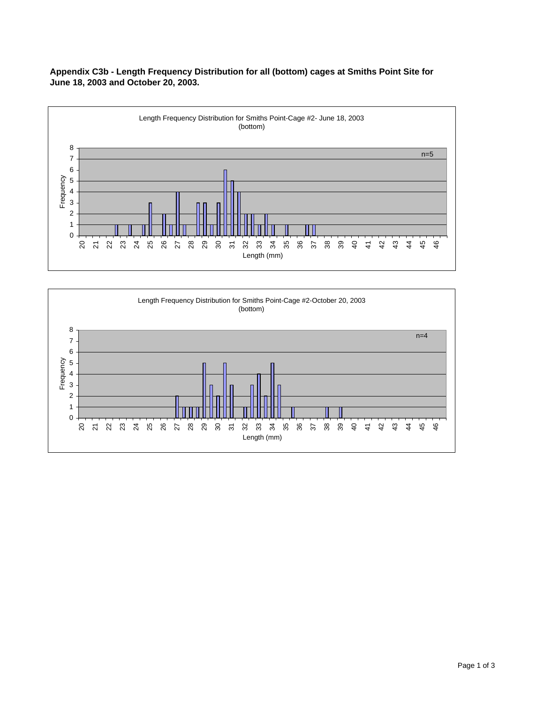



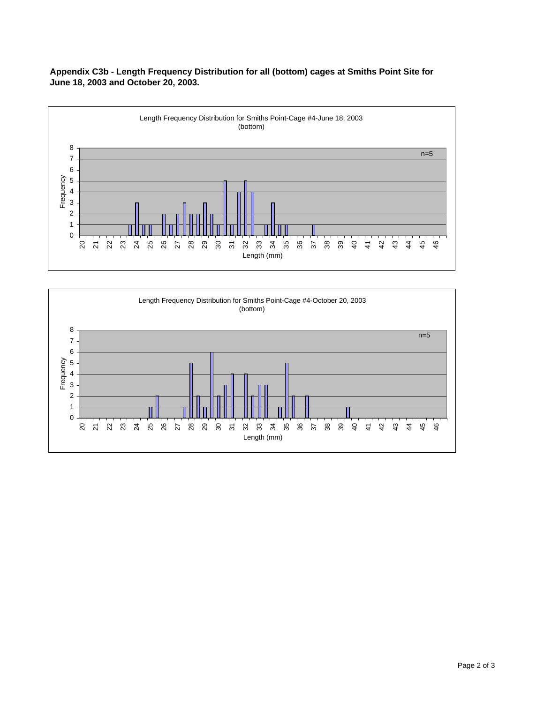**Appendix C3b - Length Frequency Distribution for all (bottom) cages at Smiths Point Site for June 18, 2003 and October 20, 2003.**